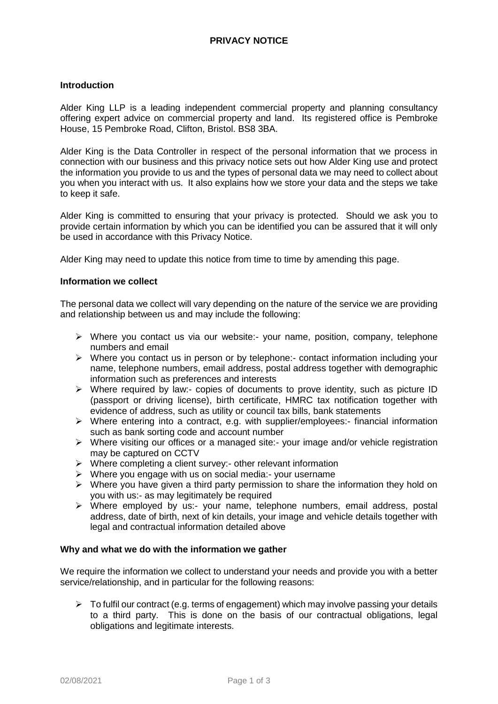# **PRIVACY NOTICE**

#### **Introduction**

Alder King LLP is a leading independent commercial property and planning consultancy offering expert advice on commercial property and land. Its registered office is Pembroke House, 15 Pembroke Road, Clifton, Bristol. BS8 3BA.

Alder King is the Data Controller in respect of the personal information that we process in connection with our business and this privacy notice sets out how Alder King use and protect the information you provide to us and the types of personal data we may need to collect about you when you interact with us. It also explains how we store your data and the steps we take to keep it safe.

Alder King is committed to ensuring that your privacy is protected. Should we ask you to provide certain information by which you can be identified you can be assured that it will only be used in accordance with this Privacy Notice.

Alder King may need to update this notice from time to time by amending this page.

#### **Information we collect**

The personal data we collect will vary depending on the nature of the service we are providing and relationship between us and may include the following:

- $\triangleright$  Where you contact us via our website:- your name, position, company, telephone numbers and email
- Where you contact us in person or by telephone:- contact information including your name, telephone numbers, email address, postal address together with demographic information such as preferences and interests
- $\triangleright$  Where required by law:- copies of documents to prove identity, such as picture ID (passport or driving license), birth certificate, HMRC tax notification together with evidence of address, such as utility or council tax bills, bank statements
- $\triangleright$  Where entering into a contract, e.g. with supplier/employees:- financial information such as bank sorting code and account number
- $\triangleright$  Where visiting our offices or a managed site:- your image and/or vehicle registration may be captured on CCTV
- $\triangleright$  Where completing a client survey:- other relevant information
- $\triangleright$  Where you engage with us on social media:- your username
- $\triangleright$  Where you have given a third party permission to share the information they hold on you with us:- as may legitimately be required
- Where employed by us:- your name, telephone numbers, email address, postal address, date of birth, next of kin details, your image and vehicle details together with legal and contractual information detailed above

#### **Why and what we do with the information we gather**

We require the information we collect to understand your needs and provide you with a better service/relationship, and in particular for the following reasons:

 $\triangleright$  To fulfil our contract (e.g. terms of engagement) which may involve passing your details to a third party. This is done on the basis of our contractual obligations, legal obligations and legitimate interests.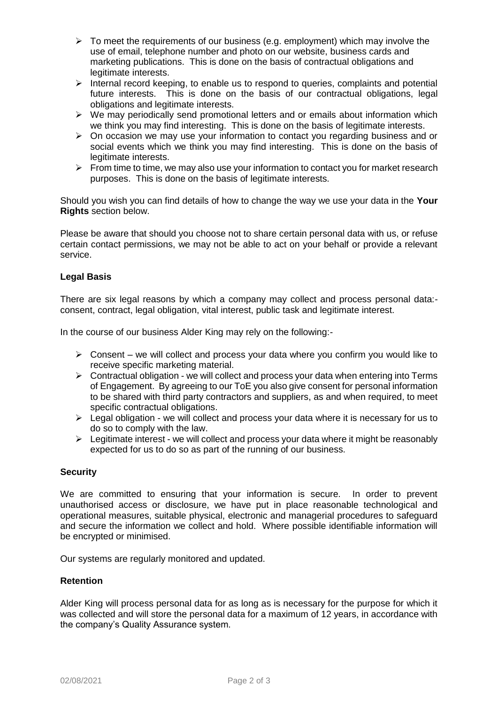- $\triangleright$  To meet the requirements of our business (e.g. employment) which may involve the use of email, telephone number and photo on our website, business cards and marketing publications. This is done on the basis of contractual obligations and legitimate interests.
- $\triangleright$  Internal record keeping, to enable us to respond to queries, complaints and potential future interests. This is done on the basis of our contractual obligations, legal obligations and legitimate interests.
- $\triangleright$  We may periodically send promotional letters and or emails about information which we think you may find interesting. This is done on the basis of legitimate interests.
- $\triangleright$  On occasion we may use your information to contact you regarding business and or social events which we think you may find interesting. This is done on the basis of legitimate interests.
- $\triangleright$  From time to time, we may also use your information to contact you for market research purposes. This is done on the basis of legitimate interests.

Should you wish you can find details of how to change the way we use your data in the **Your Rights** section below.

Please be aware that should you choose not to share certain personal data with us, or refuse certain contact permissions, we may not be able to act on your behalf or provide a relevant service.

## **Legal Basis**

There are six legal reasons by which a company may collect and process personal data: consent, contract, legal obligation, vital interest, public task and legitimate interest.

In the course of our business Alder King may rely on the following:-

- $\triangleright$  Consent we will collect and process your data where you confirm you would like to receive specific marketing material.
- $\triangleright$  Contractual obligation we will collect and process your data when entering into Terms of Engagement. By agreeing to our ToE you also give consent for personal information to be shared with third party contractors and suppliers, as and when required, to meet specific contractual obligations.
- $\triangleright$  Legal obligation we will collect and process your data where it is necessary for us to do so to comply with the law.
- $\triangleright$  Legitimate interest we will collect and process your data where it might be reasonably expected for us to do so as part of the running of our business.

## **Security**

We are committed to ensuring that your information is secure. In order to prevent unauthorised access or disclosure, we have put in place reasonable technological and operational measures, suitable physical, electronic and managerial procedures to safeguard and secure the information we collect and hold. Where possible identifiable information will be encrypted or minimised.

Our systems are regularly monitored and updated.

## **Retention**

Alder King will process personal data for as long as is necessary for the purpose for which it was collected and will store the personal data for a maximum of 12 years, in accordance with the company's Quality Assurance system.